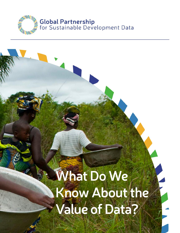

# **What Do We Know About the Value of Data?**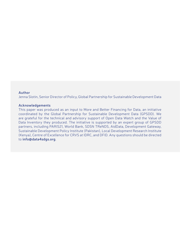#### **Author**

Jenna Slotin, Senior Director of Policy, Global Partnership for Sustainable Development Data

#### **Acknowledgements**

This paper was produced as an input to More and Better Financing for Data, an initiative coordinated by the Global Partnership for Sustainable Development Data (GPSDD). We are grateful for the technical and advisory support of Open Data Watch and the Value of Data Inventory they produced. The initiative is supported by an expert group of GPSDD partners, including PARIS21, World Bank, SDSN TReNDS, AidData, Development Gateway, Sustainable Development Policy Institute (Pakistan), Local Development Research Institute (Kenya), Centre of Excellence for CRVS at IDRC, and DFID. Any questions should be directed to **info@data4sdgs.org**.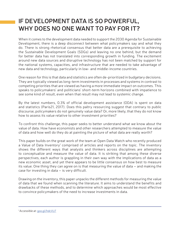### **IF DEVELOPMENT DATA IS SO POWERFUL, WHY DOES NO ONE WANT TO PAY FOR IT?**

When it comes to the development data needed to support the 2030 Agenda for Sustainable Development, there is a deep disconnect between what policymakers say and what they do. There is strong rhetorical consensus that better data are a prerequisite to achieving the Sustainable Development Goals (SDGs) and leaving no one behind, but the demand for better data has not translated into corresponding growth in funding. The excitement around new data sources and disruptive technology has not been matched by support for the national systems, capacities, and infrastructure that are needed to take advantage of new data and technology, particularly in low- and middle-income countries.

One reason for this is that data and statistics are often de-prioritized in budgetary decisions. They are typically viewed as long-term investments in processes and systems in contrast to competing priorities that are viewed as having a more immediate impact on outcomes. This speaks to policymakers' and politicians' short-term horizons combined with impatience to see some kind of result, even when that result may not lead to systemic change.

By the latest numbers, 0.3% of official development assistance (ODA) is spent on data and statistics (Paris21, 2017). Does this paltry resourcing suggest that contrary to public discourse, policymakers do not genuinely value data? Or, more likely, that they do not know how to assess its value relative to other investment priorities?

To confront this challenge, this paper seeks to better understand what we know about the value of data. How have economists and other researchers attempted to measure the value of data and how well do they do at painting the picture of what data are really worth?

This paper builds on the great work of the team at Open Data Watch who recently produced a Value of Data Inventory<sup>1</sup> comprised of articles and reports on the topic. The inventory shows the different ways that analysts and thinkers across disciplines are attempting to conceptualize and measure the value of data. It is striking that among these diverse perspectives, each author is grappling in their own way with the implications of data as a new economic asset, and yet there appears to be little consensus on how best to measure its value. One thing they can agree on is that measuring the value of data – and making the case for investing in data – is very difficult.

Drawing on the inventory, this paper unpacks the different methods for measuring the value of data that we found when scanning the literature. It aims to understand the benefits and drawbacks of these methods, and to determine which approaches would be most effective to convince policymakers of the need to increase investments in data.

1 Accessible at: goo.gl/hdcVLF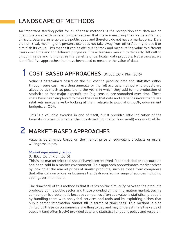### **LANDSCAPE OF METHODS**

An important starting point for all of these methods is the recognition that data are an intangible asset with several unique features that make measuring their value extremely difficult. Data are, in large part, a public good and therefore do not have a market price. Data are non-rival, meaning one person's use does not take away from others' ability to use it or diminish its value. This means it can be difficult to track and measure the value to different users over time and for different purposes. These features make it particularly difficult to pinpoint value and to monetize the benefits of particular data products. Nevertheless, we identified five approaches that have been used to measure the value of data.

### **1 COST-BASED APPROACHES** (UNECE, 2017; Klein 2016)

Value is determined based on the full cost to produce data and statistics either through pure cash recording annually or the full accruals method where costs are allocated as much as possible to the years in which they add to the production of statistics so that major expenditures (e.g. census) are smoothed over time. These costs have been employed to make the case that data and statistics investments are relatively inexpensive by looking at them relative to population, GDP, government budgets, or ODA.

This is a valuable exercise in and of itself, but it provides little indication of the benefits in terms of whether the investment (no matter how small) was worthwhile.

### **2 MARKET-BASED APPROACHES**

Value is determined based on the market price of equivalent products or users' willingness to pay.

#### *Market equivalent pricing*

(UNECE, 2017; Klein 2016)

This is the market price that should have been received if the statistical or data outputs had been sold in a market environment. This approach approximates market prices by looking at the market prices of similar products, such as those from companies that offer data on prices, or business trends drawn from a range of sources including open government data.

The drawback of this method is that it relies on the similarity between the products produced by the public sector and those provided on the information market. Such a comparison is problematic because companies often add value to statistical products by bundling them with analytical services and tools and by exploiting niches that public sector information cannot fill in terms of timeliness. This method is also limited by the price consumers are willing to pay and may underestimate the value of publicly (and often freely) provided data and statistics for public policy and research.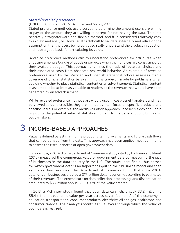#### *Stated/revealed preferences*

(UNECE, 2017; Klein, 2016; Ballivian and Maret, 2015)

Stated preference methods use a survey to determine the amount users are willing to pay or the amount they are willing to accept for not having the data. This is a relatively straightforward and flexible method, and it is considered relatively easy to explain and analyze. However, it is difficult to validate externally and relies on the assumption that the users being surveyed really understand the product in question and have a good basis for articulating its value.

Revealed preference methods aim to understand preferences for attributes when choosing among a bundle of goods or services when their choices are constrained by their available budget. This approach examines the trade-off between choices and their associated costs from observed real world behavior. An example of revealed preferences used by the Mexican and Spanish statistical offices assesses media coverage of official statistics by examining the trade-off made by publishers when deciding whether to place statistical content or an advertisement. Statistical content is assumed to be at least as valuable to readers as the revenue that would have been generated by an advertisement.

While revealed preference methods are widely used in cost-benefit analysis and may be viewed as quite credible, they are limited by their focus on specific products and specific users. For example, the media valuation approach used by Mexico and Spain highlights the potential value of statistical content to the general public but not to policymakers.

### **3 INCOME-BASED APPROACHES**

Value is defined by estimating the productivity improvements and future cash flows that can be derived from the data. This approach has been applied most commonly to assess the fiscal benefits of open government data.

For example, a 2014 U.S. Department of Commerce study cited by Ballivian and Maret (2015) measured the commercial value of government data by measuring the size of businesses in the data industry in the U.S. The study identifies all businesses for which government data is an important input to their business model and then estimates their revenues. The Department of Commerce found that since 2004, data-driven businesses created a \$17-trillion dollar economy, according to estimates of their revenues. The expenditure on data collection, processing, and dissemination amounted to \$3.7 billion annually  $-$  0.02% of the value created.

In 2013, a McKinsey study found that open data can help unlock \$3.2 trillion to \$5.4 trillion in economic value per year across seven "domains" of the economy – education, transportation, consumer products, electricity, oil and gas, healthcare, and consumer finance. Their analysis identifies five levers through which the value of open data is realized: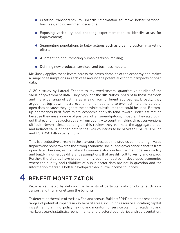- Creating transparency to unearth information to make better personal, business, and government decisions;
- Exposing variability and enabling experimentation to identify areas for improvement;
- Segmenting populations to tailor actions such as creating custom marketing offers;
- Augmenting or automating human decision-making;
- Defining new products, services, and business models.

McKinsey applies these levers across the seven domains of the economy and makes a range of assumptions in each case around the potential economic impacts of open data.

A 2014 study by Lateral Economics reviewed several quantitative studies of the value of government data. They highlight the difficulties inherent in these methods and the wide range of estimates arising from different approaches. Broadly, they argue that top-down macro-economic methods tend to over-estimate the value of open data because they ignore the possible substitutes that could be used. Bottomup approaches built from micro-economic analysis tend toward under-estimation because they miss a range of positive, often serendipitous, impacts. They also point out that economic structures vary from country to country making direct conversions difficult. Nevertheless, building on this review, they estimate the aggregate direct and indirect value of open data in the G20 countries to be between USD 700 billion and USD 950 billion per annum.

This is a seductive stream in the literature because the studies estimate high-value impacts and point towards the strong economic, social, and governance benefits from open data. However, as the Lateral Economics study notes, the methods vary widely and build-in numerous different assumptions that are difficult to verify and unpack. Further, the studies have predominantly been conducted in developed economies where the quality and reliability of public sector data are not in question and the information market is better developed than in low-income countries.

### **4 BENEFIT MONETIZATION**

Value is estimated by defining the benefits of particular data products, such as a census, and then monetizing the benefits.

To determine the value of the New Zealand census, Bakker (2014) estimated reasonable ranges of potential impacts in key benefit areas, including resource allocation; capital investment planning; policymaking and monitoring; service planning; academic and market research; statistical benchmarks; and, electoral boundaries and representation.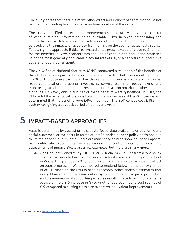The study notes that there are many other direct and indirect benefits that could not be quantified leading to an inevitable underestimation of the value.

The study identified the expected improvements to accuracy derived as a result of census related information being available. This involved establishing the counterfactual by determining the likely range of alternate data sources that could be used, and the impacts on accuracy from relying on the counterfactual data source. Following this approach, Bakker estimated a net present value of close to \$1 billion for the benefits to New Zealand from the use of census and population statistics using the most generally applicable discount rate of 8%, or a net return of about five dollars for every dollar spent.

The UK Office of National Statistics (ONS) conducted a valuation of the benefits of the 2011 census as part of building a business case for that investment beginning in 2006. The business case describes the value of the census across six main uses: resource allocation; targeting investment; service planning; policymaking and monitoring; academic and market research, and as a benchmark for other national statistics. However, only a sub-set of these benefits were quantified. In 2013, the ONS redid the benefits calculations based on the known uses of the 2011 census and determined that the benefits were £490m per year. The 2011 census cost £482m in cash prices giving a payback period of just over a year.

### **5 IMPACT-BASED APPROACHES**

Value is determined by assessing the causal effect of data availability on economic and social outcomes, or the costs in terms of inefficiencies or poor policy decisions due to limited or poor-quality data. There are many case studies showing these impacts, from deliberate experiments such as randomized control trials to retrospective assessments of impact. Below are a few examples, but there are many more.<sup>2</sup>

One frequently cited study (UNECE 2017; Klein 2016) builds from a rare policy change that resulted in the provision of school statistics in England but not in Wales. Burgess et al (2013) found a significant and sizeable negative effect on pupil progress in Wales compared to England following the policy change in 2001. Based on the results of this research, other analysis estimates that every £1 invested in the examination system and the subsequent production and dissemination of school league tables results in academic improvements equivalent to a £16 increase in GPD. Another approach found cost savings of £19 compared to cutting class size to achieve equivalent improvements.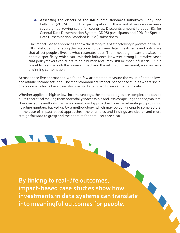Assessing the effects of the IMF's data standards initiatives, Cady and Pellechio (2006) found that participation in these initiatives can decrease sovereign borrowing costs for countries. Discounts amount to about 8% for General Data Dissemination System (GDDS) participants and 20% for Special Data Dissemination Standard (SDDS) subscribers.

The impact-based approaches show the strong role of storytelling in promoting value. Ultimately, demonstrating the relationship between data investments and outcomes that affect people's lives is what resonates best. Their most significant drawback is context specificity, which can limit their influence. However, strong illustrative cases that policymakers can relate to on a human level may still be most influential. If it is possible to show both the human impact and the return on investment, we may have a winning combination.

Across these five approaches, we found few attempts to measure the value of data in lowand middle-income settings. The most common are impact-based case studies where social or economic returns have been documented after specific investments in data.

Whether applied in high or low-income settings, the methodologies are complex and can be quite theoretical making them potentially inaccessible and less compelling for policymakers. However, some methods like the income-based approaches have the advantage of providing headline numbers backed up by a methodology, which may be convincing to some actors. In the case of impact-based approaches, the examples and findings are clearer and more straightforward to grasp and the benefits for data users are clear.

**By linking to real-life outcomes, impact-based case studies show how investments in data systems can translate into meaningful outcomes for people.**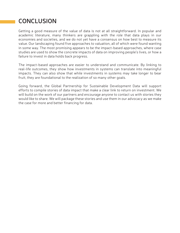### **CONCLUSION**

Getting a good measure of the value of data is not at all straightforward. In popular and academic literature, many thinkers are grappling with the role that data plays in our economies and societies, and we do not yet have a consensus on how best to measure its value. Our landscaping found five approaches to valuation, all of which were found wanting in some way. The most promising appears to be the impact-based approaches, where case studies are used to show the concrete impacts of data on improving people's lives, or how a failure to invest in data holds back progress.

The impact-based approaches are easier to understand and communicate. By linking to real-life outcomes, they show how investments in systems can translate into meaningful impacts. They can also show that while investments in systems may take longer to bear fruit, they are foundational to the realization of so many other goals.

Going forward, the Global Partnership for Sustainable Development Data will support efforts to compile stories of data impact that make a clear link to return on investment. We will build on the work of our partners and encourage anyone to contact us with stories they would like to share. We will package these stories and use them in our advocacy as we make the case for more and better financing for data.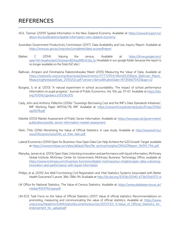### **REFERENCES**

- ACIL Tasman (2009) Spatial Information in the New Zealand Economy. Available at: https://www.linz.govt.nz/ about-linz/publications/spatial-information-new-zealand-economy
- Australian Government Productivity Commission (2017). Data Availability and Use, Inquiry Report. Available at: https://www.pc.gov.au/inquiries/completed/data-access#report
- Bakker, C (2014). Valuing the census. Available at: https://drive.google.com/ open?id=1soaAxnIpzD3zGiwqm8SAquMtEnK3oL3y (Available in our google folder because the report is no longer available on the Stats NZ site.)
- Ballivian, Amparo and Fenohasina Rakotondrazaka Maret (2015) Measuring the Value of Data. Available at: https://statswiki.unece.org/download/attachments/117772954/World%20Bank\_Ballivian\_Maret MeasuringtheValueofData\_20151202.pdf?version=1&modificationDate=1473158675433&api=v2
- Burgess, S. et al. (2013) "A natural experiment in school accountability: The impact of school performance information on pupil progress." Journal of Public Economics, Vol. 106, pp. 57-67. Available at https://doi. org/10.1016/j.jpubeco.2013.06.005
- Cady, John and Anthony Pellechio (2006) "Sovereign Borrowing Cost and the IMF's Data Standards Initiatives", IMF Working Paper WP/06/78, IMF. Available at: https://www.imf.org/external/pubs/ft/wp/2006/ wp0678.pdf
- Deloitte (2013) Market Assessment of Public Sector Information. Available at: https://www.gov.uk/government/ publications/public-sector-information-market-assessment
- Klein, Thilo (2016) Monetizing the Value of Official Statistics: A case study. Available at: http://www.ksh.hu/ cess2016/prezi/cess2016\_a3\_thilo\_klein.pdf
- Lateral Economics (2014) Open for Business: How Open Data Can Help Achieve the G20 Growth Target, available at: https://www.omidyar.com/sites/default/files/file\_archive/insights/ON%20Report\_061114\_FNL.pdf
- Manyika, James et al. (2013) Open Data: Unlocking innovation and performance with liquid information, McKinsey Global Institute, McKinsey Center for Government, McKinsey Business Technology Office, available at: https://www.mckinsey.com/business-functions/digital-mckinsey/our-insights/open-data-unlockinginnovation-and-performance-with-liquid-information
- Philips, et al. (2015) Are Well Functioning Civil Registration and Vital Statistics Systems Associated with Better Health Outcomes? Lancet; 386: 1386-94. Available at: http://dx.doi.org/10.1016/S0140-6736(15)60172-6
- UK Office for National Statistics. The Value of Census Statistics. Available at: https://www.ukdataservice.ac.uk/ media/455474/cope.pdf
- UN-ECE Task Force on the Value of Official Statistics (2017) Value of official statistics: Recommendations on promoting, measuring and communicating the value of official statistics. Available at: https://www. unece.org/fileadmin/DAM/stats/documents/ece/ces/2017/CES\_4-Value\_of\_Official\_Statistics\_for endorsement for upload.pdf